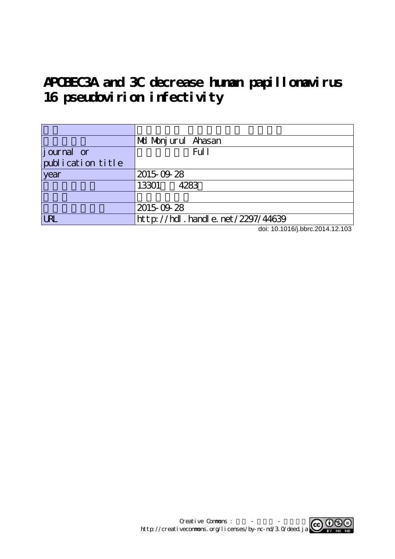# **APOBEC3A and 3C decrease human papillomavirus** 16 pseudovirion infectivity

|                   | Md Monjurul Ahasan                          |
|-------------------|---------------------------------------------|
| journal or        | Ful 1                                       |
| publication title |                                             |
| vear              | 2015-09-28                                  |
|                   | 13301<br>4283                               |
|                   |                                             |
|                   | 2015-09-28                                  |
| <b>URL</b>        | $ht$ t p: //hdl. handl e. net $/2297/44639$ |

doi: 10.1016/j.bbrc.2014.12.103

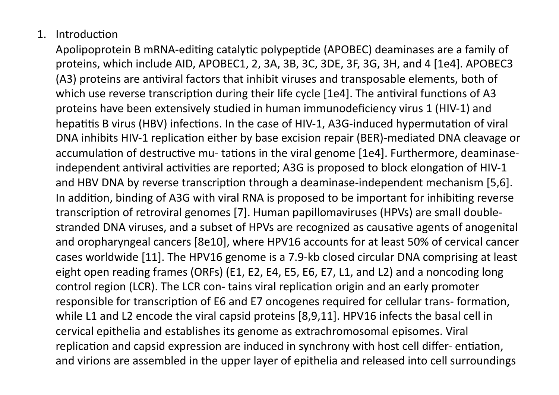## 1. Introduction

Apolipoprotein B mRNA-editing catalytic polypeptide (APOBEC) deaminases are a family of proteins, which include AID, APOBEC1, 2, 3A, 3B, 3C, 3DE, 3F, 3G, 3H, and 4 [1e4]. APOBEC3 (A3) proteins are antiviral factors that inhibit viruses and transposable elements, both of which use reverse transcription during their life cycle [1e4]. The antiviral functions of A3 proteins
have
been
extensively
studied
in
human
immunodeficiency
virus
1
(HIV‐1)
and hepatitis B virus (HBV) infections. In the case of HIV-1, A3G-induced hypermutation of viral DNA inhibits HIV-1 replication either by base excision repair (BER)-mediated DNA cleavage or accumulation of destructive mu- tations in the viral genome [1e4]. Furthermore, deaminaseindependent antiviral activities are reported; A3G is proposed to block elongation of HIV-1 and HBV DNA by reverse transcription through a deaminase-independent mechanism [5,6]. In addition, binding of A3G with viral RNA is proposed to be important for inhibiting reverse transcription of retroviral genomes [7]. Human papillomaviruses (HPVs) are small doublestranded DNA viruses, and a subset of HPVs are recognized as causative agents of anogenital and oropharyngeal cancers [8e10], where HPV16 accounts for at least 50% of cervical cancer cases
worldwide
[11].
The
HPV16
genome
is
a
7.9‐kb
closed
circular
DNA
comprising
at
least eight open reading frames (ORFs) (E1, E2, E4, E5, E6, E7, L1, and L2) and a noncoding long control region (LCR). The LCR con-tains viral replication origin and an early promoter responsible for transcription of E6 and E7 oncogenes required for cellular trans- formation, while L1 and L2 encode the viral capsid proteins [8,9,11]. HPV16 infects the basal cell in cervical
epithelia
and
establishes
its
genome
as
extrachromosomal episomes.
Viral replication and capsid expression are induced in synchrony with host cell differ-entiation, and virions are assembled in the upper layer of epithelia and released into cell surroundings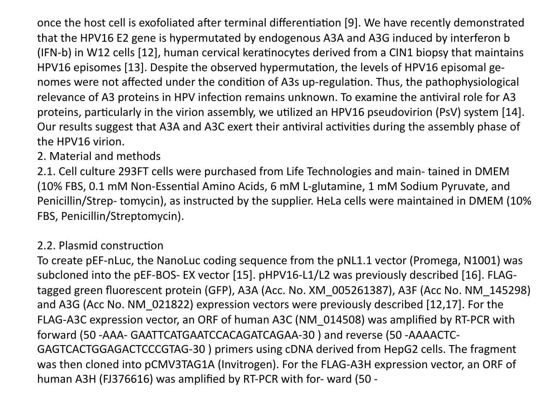once the host cell is exofoliated after terminal differentiation [9]. We have recently demonstrated that the HPV16 E2 gene is hypermutated by endogenous A3A and A3G induced by interferon b (IFN-b) in W12 cells [12], human cervical keratinocytes derived from a CIN1 biopsy that maintains HPV16 episomes [13]. Despite the observed hypermutation, the levels of HPV16 episomal genomes were not affected under the condition of A3s up-regulation. Thus, the pathophysiological relevance of A3 proteins in HPV infection remains unknown. To examine the antiviral role for A3 proteins, particularly in the virion assembly, we utilized an HPV16 pseudovirion (PsV) system [14]. Our results suggest that A3A and A3C exert their antiviral activities during the assembly phase of the
HPV16
virion.

### 2.
Material
and
methods

2.1. Cell culture 293FT cells were purchased from Life Technologies and main-tained in DMEM (10% FBS, 0.1 mM Non-Essential Amino Acids, 6 mM L-glutamine, 1 mM Sodium Pyruvate, and Penicillin/Strep- tomycin), as instructed by the supplier. HeLa cells were maintained in DMEM (10% FBS,
Penicillin/Streptomycin).

#### 2.2. Plasmid construction

To
create
pEF‐nLuc,
the
NanoLuc
coding
sequence
from
the
pNL1.1
vector
(Promega,
N1001)
was subcloned into the pEF-BOS- EX vector [15]. pHPV16-L1/L2 was previously described [16]. FLAGtagged green fluorescent protein (GFP), A3A (Acc. No. XM\_005261387), A3F (Acc No. NM\_145298) and
A3G
(Acc
No.
NM\_021822)
expression
vectors
were
previously
described
[12,17].
For
the FLAG-A3C expression vector, an ORF of human A3C (NM\_014508) was amplified by RT-PCR with forward (50 - AAA - GAATTCATGAATCCACAGATCAGAA - 30) and reverse (50 - AAAACTC -GAGTCACTGGAGACTCCCGTAG‐30
)
primers
using
cDNA
derived
from
HepG2
cells.
The
fragment was then cloned into pCMV3TAG1A (Invitrogen). For the FLAG-A3H expression vector, an ORF of human A3H (FJ376616) was amplified by RT-PCR with for- ward (50 -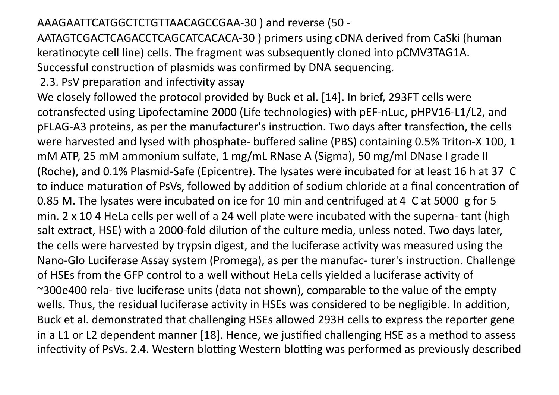#### AAAGAATTCATGGCTCTGTTAACAGCCGAA‐30
)
and
reverse
(50
‐

AATAGTCGACTCAGACCTCAGCATCACACA‐30
)
primers
using
cDNA
derived
from
CaSki
(human keratinocyte cell line) cells. The fragment was subsequently cloned into pCMV3TAG1A. Successful construction of plasmids was confirmed by DNA sequencing.

2.3. PsV preparation and infectivity assay

We closely followed the protocol provided by Buck et al. [14]. In brief, 293FT cells were cotransfected
using
Lipofectamine
2000
(Life
technologies)
with
pEF‐nLuc,
pHPV16‐L1/L2,
and pFLAG-A3 proteins, as per the manufacturer's instruction. Two days after transfection, the cells were harvested and lysed with phosphate- buffered saline (PBS) containing 0.5% Triton-X 100, 1 mM
ATP,
25
mM
ammonium
sulfate,
1
mg/mL RNase
A
(Sigma),
50
mg/ml
DNase
I
grade
II (Roche),
and
0.1%
Plasmid‐Safe
(Epicentre).
The
lysates
were
incubated
for
at
least
16
h
at
37

C to induce maturation of PsVs, followed by addition of sodium chloride at a final concentration of 0.85 M. The lysates were incubated on ice for 10 min and centrifuged at 4 C at 5000 g for 5 min. 2 x 10 4 HeLa cells per well of a 24 well plate were incubated with the superna- tant (high salt extract, HSE) with a 2000-fold dilution of the culture media, unless noted. Two days later, the cells were harvested by trypsin digest, and the luciferase activity was measured using the Nano-Glo Luciferase Assay system (Promega), as per the manufac- turer's instruction. Challenge of HSEs from the GFP control to a well without HeLa cells yielded a luciferase activity of ~300e400 rela- tive luciferase units (data not shown), comparable to the value of the empty wells. Thus, the residual luciferase activity in HSEs was considered to be negligible. In addition, Buck
et
al.
demonstrated
that
challenging
HSEs
allowed
293H
cells
to
express
the
reporter
gene in a L1 or L2 dependent manner [18]. Hence, we justified challenging HSE as a method to assess infectivity of PsVs. 2.4. Western blotting Western blotting was performed as previously described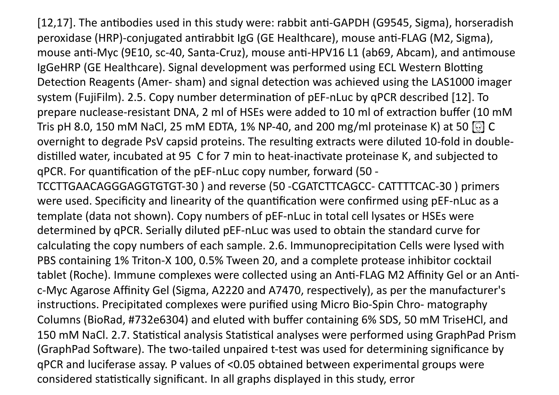[12,17]. The antibodies used in this study were: rabbit anti-GAPDH (G9545, Sigma), horseradish peroxidase (HRP)-conjugated antirabbit IgG (GE Healthcare), mouse anti-FLAG (M2, Sigma), mouse anti-Myc (9E10, sc-40, Santa-Cruz), mouse anti-HPV16 L1 (ab69, Abcam), and antimouse IgGeHRP (GE Healthcare). Signal development was performed using ECL Western Blotting Detection Reagents (Amer-sham) and signal detection was achieved using the LAS1000 imager system (FujiFilm). 2.5. Copy number determination of pEF-nLuc by qPCR described [12]. To prepare nuclease-resistant DNA, 2 ml of HSEs were added to 10 ml of extraction buffer (10 mM Tris pH 8.0, 150 mM NaCl, 25 mM EDTA, 1% NP-40, and 200 mg/ml proteinase K) at 50  $\odot$  C overnight to degrade PsV capsid proteins. The resulting extracts were diluted 10-fold in doubledistilled water, incubated at 95 C for 7 min to heat-inactivate proteinase K, and subjected to qPCR. For quantification of the pEF-nLuc copy number, forward (50 -

TCCTTGAACAGGGAGGTGTGT‐30
)
and
reverse
(50
‐CGATCTTCAGCC‐
CATTTTCAC‐30
)
primers were used. Specificity and linearity of the quantification were confirmed using pEF-nLuc as a template
(data
not
shown).
Copy
numbers
of
pEF‐nLuc
in
total
cell
lysates
or
HSEs
were determined by qPCR. Serially diluted pEF-nLuc was used to obtain the standard curve for calculating the copy numbers of each sample. 2.6. Immunoprecipitation Cells were lysed with PBS containing 1% Triton-X 100, 0.5% Tween 20, and a complete protease inhibitor cocktail tablet (Roche). Immune complexes were collected using an Anti-FLAG M2 Affinity Gel or an Antic-Myc Agarose Affinity Gel (Sigma, A2220 and A7470, respectively), as per the manufacturer's instructions. Precipitated complexes were purified using Micro Bio-Spin Chro- matography Columns
(BioRad,
#732e6304)
and
eluted
with
buffer
containing
6%
SDS,
50
mM TriseHCl,
and 150 mM NaCl. 2.7. Statistical analysis Statistical analyses were performed using GraphPad Prism (GraphPad Software). The two-tailed unpaired t-test was used for determining significance by qPCR
and
luciferase
assay.
P
values
of
<0.05
obtained
between
experimental
groups
were considered statistically significant. In all graphs displayed in this study, error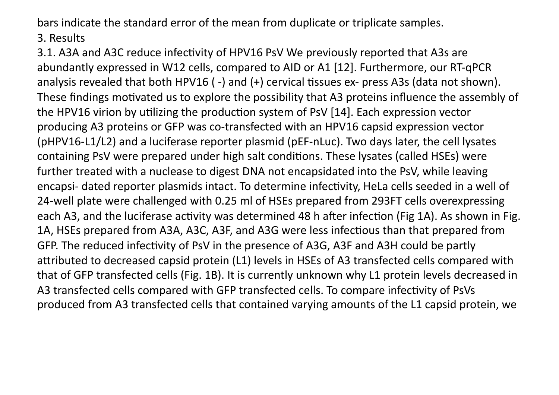bars
indicate
the
standard
error
of
the
mean
from
duplicate
or
triplicate
samples.

3.
Results

3.1. A3A and A3C reduce infectivity of HPV16 PsV We previously reported that A3s are abundantly
expressed
in
W12
cells,
compared
to
AID
or
A1
[12].
Furthermore,
our
RT‐qPCR analysis revealed that both HPV16 (-) and (+) cervical tissues ex- press A3s (data not shown). These findings motivated us to explore the possibility that A3 proteins influence the assembly of the HPV16 virion by utilizing the production system of PsV [14]. Each expression vector producing A3 proteins or GFP was co-transfected with an HPV16 capsid expression vector (pHPV16‐L1/L2)
and
a
luciferase
reporter
plasmid
(pEF‐nLuc).
Two
days
later,
the
cell
lysates containing PsV were prepared under high salt conditions. These lysates (called HSEs) were further treated with a nuclease to digest DNA not encapsidated into the PsV, while leaving encapsi- dated reporter plasmids intact. To determine infectivity, HeLa cells seeded in a well of 24‐well
plate
were
challenged
with
0.25
ml
of
HSEs
prepared
from
293FT
cells
overexpressing each A3, and the luciferase activity was determined 48 h after infection (Fig 1A). As shown in Fig. 1A, HSEs prepared from A3A, A3C, A3F, and A3G were less infectious than that prepared from GFP. The reduced infectivity of PsV in the presence of A3G, A3F and A3H could be partly attributed to decreased capsid protein (L1) levels in HSEs of A3 transfected cells compared with that of GFP transfected cells (Fig. 1B). It is currently unknown why L1 protein levels decreased in A3 transfected cells compared with GFP transfected cells. To compare infectivity of PsVs produced
from
A3
transfected
cells
that
contained
varying
amounts
of
the
L1
capsid
protein,
we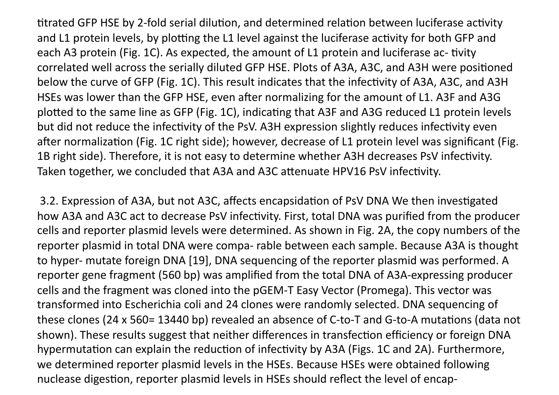titrated GFP HSE by 2-fold serial dilution, and determined relation between luciferase activity and L1 protein levels, by plotting the L1 level against the luciferase activity for both GFP and each A3 protein (Fig. 1C). As expected, the amount of L1 protein and luciferase ac- tivity correlated well across the serially diluted GFP HSE. Plots of A3A, A3C, and A3H were positioned below the curve of GFP (Fig. 1C). This result indicates that the infectivity of A3A, A3C, and A3H HSEs was lower than the GFP HSE, even after normalizing for the amount of L1. A3F and A3G plotted to the same line as GFP (Fig. 1C), indicating that A3F and A3G reduced L1 protein levels but did not reduce the infectivity of the PsV. A3H expression slightly reduces infectivity even after normalization (Fig. 1C right side); however, decrease of L1 protein level was significant (Fig. 1B right side). Therefore, it is not easy to determine whether A3H decreases PsV infectivity. Taken together, we concluded that A3A and A3C attenuate HPV16 PsV infectivity.

3.2. Expression of A3A, but not A3C, affects encapsidation of PsV DNA We then investigated how A3A and A3C act to decrease PsV infectivity. First, total DNA was purified from the producer cells
and
reporter
plasmid
levels
were
determined.
As
shown
in
Fig.
2A,
the
copy
numbers
of
the reporter plasmid in total DNA were compa- rable between each sample. Because A3A is thought to hyper- mutate foreign DNA [19], DNA sequencing of the reporter plasmid was performed. A reporter
gene
fragment
(560
bp)
was
amplified
from
the
total
DNA
of
A3A‐expressing
producer cells
and
the
fragment
was
cloned
into
the
pGEM‐T
Easy
Vector
(Promega).
This
vector
was transformed
into
Escherichia
coli
and
24
clones
were
randomly
selected.
DNA
sequencing
of these clones (24 x 560= 13440 bp) revealed an absence of C-to-T and G-to-A mutations (data not shown). These results suggest that neither differences in transfection efficiency or foreign DNA hypermutation can explain the reduction of infectivity by A3A (Figs. 1C and 2A). Furthermore, we determined reporter plasmid levels in the HSEs. Because HSEs were obtained following nuclease digestion, reporter plasmid levels in HSEs should reflect the level of encap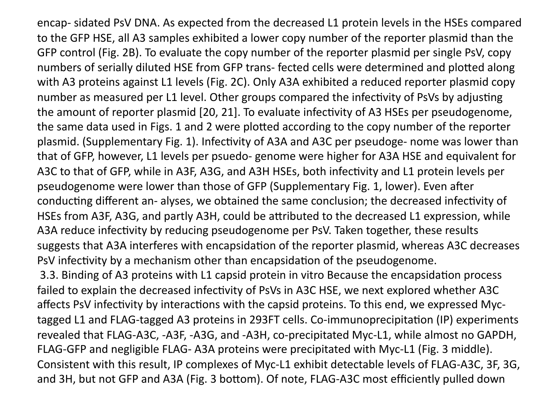encap‐
sidated PsV
DNA.
As
expected
from
the
decreased
L1
protein
levels
in
the
HSEs
compared to the GFP HSE, all A3 samples exhibited a lower copy number of the reporter plasmid than the GFP
control
(Fig.
2B).
To
evaluate
the
copy
number
of
the
reporter
plasmid
per
single
PsV,
copy numbers of serially diluted HSE from GFP trans- fected cells were determined and plotted along with A3 proteins against L1 levels (Fig. 2C). Only A3A exhibited a reduced reporter plasmid copy number as measured per L1 level. Other groups compared the infectivity of PsVs by adjusting the amount of reporter plasmid [20, 21]. To evaluate infectivity of A3 HSEs per pseudogenome, the same data used in Figs. 1 and 2 were plotted according to the copy number of the reporter plasmid. (Supplementary Fig. 1). Infectivity of A3A and A3C per pseudoge- nome was lower than that
of
GFP,
however,
L1
levels
per
psuedo‐
genome
were
higher
for
A3A
HSE
and
equivalent
for A3C to that of GFP, while in A3F, A3G, and A3H HSEs, both infectivity and L1 protein levels per pseudogenome were lower than those of GFP (Supplementary Fig. 1, lower). Even after conducting different an-alyses, we obtained the same conclusion; the decreased infectivity of HSEs from A3F, A3G, and partly A3H, could be attributed to the decreased L1 expression, while A3A reduce infectivity by reducing pseudogenome per PsV. Taken together, these results suggests that A3A interferes with encapsidation of the reporter plasmid, whereas A3C decreases PsV infectivity by a mechanism other than encapsidation of the pseudogenome. 3.3. Binding of A3 proteins with L1 capsid protein in vitro Because the encapsidation process failed to explain the decreased infectivity of PsVs in A3C HSE, we next explored whether A3C affects PsV infectivity by interactions with the capsid proteins. To this end, we expressed Myc-

tagged L1 and FLAG-tagged A3 proteins in 293FT cells. Co-immunoprecipitation (IP) experiments revealed that FLAG-A3C, -A3F, -A3G, and -A3H, co-precipitated Myc-L1, while almost no GAPDH, FLAG-GFP and negligible FLAG- A3A proteins were precipitated with Myc-L1 (Fig. 3 middle). Consistent with this result, IP complexes of Myc-L1 exhibit detectable levels of FLAG-A3C, 3F, 3G, and 3H, but not GFP and A3A (Fig. 3 bottom). Of note, FLAG-A3C most efficiently pulled down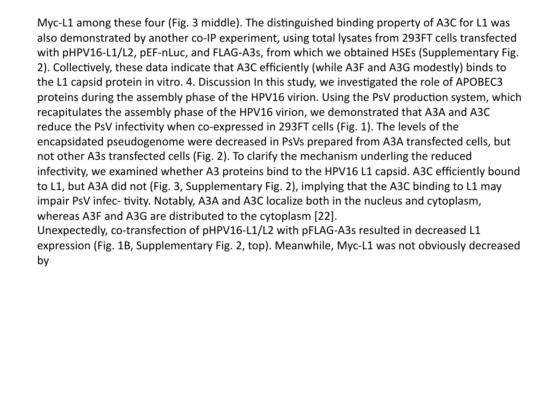Myc-L1 among these four (Fig. 3 middle). The distinguished binding property of A3C for L1 was also demonstrated by another co-IP experiment, using total lysates from 293FT cells transfected with pHPV16-L1/L2, pEF-nLuc, and FLAG-A3s, from which we obtained HSEs (Supplementary Fig. 2). Collectively, these data indicate that A3C efficiently (while A3F and A3G modestly) binds to the L1 capsid protein in vitro. 4. Discussion In this study, we investigated the role of APOBEC3 proteins during the assembly phase of the HPV16 virion. Using the PsV production system, which recapitulates the assembly phase of the HPV16 virion, we demonstrated that A3A and A3C reduce the PsV infectivity when co-expressed in 293FT cells (Fig. 1). The levels of the encapsidated pseudogenome
were
decreased
in
PsVs
prepared
from
A3A
transfected
cells,
but not other A3s transfected cells (Fig. 2). To clarify the mechanism underling the reduced infectivity, we examined whether A3 proteins bind to the HPV16 L1 capsid. A3C efficiently bound to L1, but A3A did not (Fig. 3, Supplementary Fig. 2), implying that the A3C binding to L1 may impair PsV infec- tivity. Notably, A3A and A3C localize both in the nucleus and cytoplasm, whereas
A3F
and
A3G
are
distributed
to
the
cytoplasm
[22]. Unexpectedly, co-transfection of pHPV16-L1/L2 with pFLAG-A3s resulted in decreased L1 expression
(Fig.
1B,
Supplementary
Fig.
2,
top).
Meanwhile,
Myc‐L1
was
not
obviously
decreased

by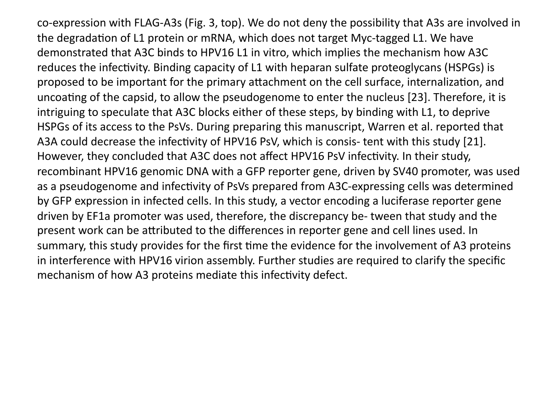co-expression with FLAG-A3s (Fig. 3, top). We do not deny the possibility that A3s are involved in the degradation of L1 protein or mRNA, which does not target Myc-tagged L1. We have demonstrated that A3C binds to HPV16 L1 in vitro, which implies the mechanism how A3C reduces the infectivity. Binding capacity of L1 with heparan sulfate proteoglycans (HSPGs) is proposed to be important for the primary attachment on the cell surface, internalization, and uncoating of the capsid, to allow the pseudogenome to enter the nucleus [23]. Therefore, it is intriguing to speculate that A3C blocks either of these steps, by binding with L1, to deprive HSPGs of its access to the PsVs. During preparing this manuscript, Warren et al. reported that A3A could decrease the infectivity of HPV16 PsV, which is consis- tent with this study [21]. However, they concluded that A3C does not affect HPV16 PsV infectivity. In their study, recombinant HPV16 genomic DNA with a GFP reporter gene, driven by SV40 promoter, was used as a pseudogenome and infectivity of PsVs prepared from A3C-expressing cells was determined by GFP expression in infected cells. In this study, a vector encoding a luciferase reporter gene driven
by
EF1a
promoter
was
used,
therefore,
the
discrepancy
be‐
tween
that
study
and
the present work can be attributed to the differences in reporter gene and cell lines used. In summary, this study provides for the first time the evidence for the involvement of A3 proteins in interference with HPV16 virion assembly. Further studies are required to clarify the specific mechanism of how A3 proteins mediate this infectivity defect.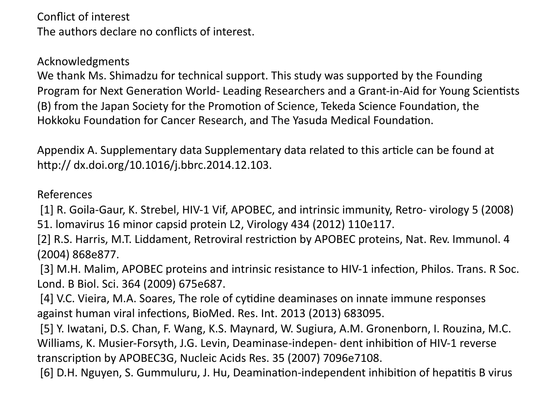Conflict
of
interest The
authors
declare
no
conflicts
of
interest.

Acknowledgments

We thank Ms. Shimadzu for technical support. This study was supported by the Founding Program for Next Generation World- Leading Researchers and a Grant-in-Aid for Young Scientists (B) from the Japan Society for the Promotion of Science, Tekeda Science Foundation, the Hokkoku Foundation for Cancer Research, and The Yasuda Medical Foundation.

Appendix A. Supplementary data Supplementary data related to this article can be found at http:// dx.doi.org/10.1016/j.bbrc.2014.12.103.

References

[1] R. Goila-Gaur, K. Strebel, HIV-1 Vif, APOBEC, and intrinsic immunity, Retro- virology 5 (2008) 51.
lomavirus
16
minor
capsid
protein
L2,
Virology
434
(2012)
110e117.

[2] R.S. Harris, M.T. Liddament, Retroviral restriction by APOBEC proteins, Nat. Rev. Immunol. 4 (2004)
868e877.

[3] M.H. Malim, APOBEC proteins and intrinsic resistance to HIV-1 infection, Philos. Trans. R Soc. Lond.
B
Biol.
Sci.
364
(2009)
675e687.

[4] V.C. Vieira, M.A. Soares, The role of cytidine deaminases on innate immune responses against human viral infections, BioMed. Res. Int. 2013 (2013) 683095.

[5] Y. Iwatani, D.S. Chan, F. Wang, K.S. Maynard, W. Sugiura, A.M. Gronenborn, I. Rouzina, M.C. Williams, K. Musier-Forsyth, J.G. Levin, Deaminase-indepen- dent inhibition of HIV-1 reverse transcription by APOBEC3G, Nucleic Acids Res. 35 (2007) 7096e7108.

[6] D.H. Nguyen, S. Gummuluru, J. Hu, Deamination-independent inhibition of hepatitis B virus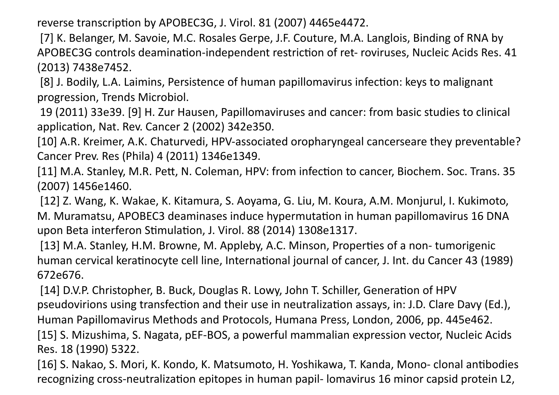reverse transcription by APOBEC3G, J. Virol. 81 (2007) 4465e4472.

[7] K. Belanger, M. Savoie, M.C. Rosales Gerpe, J.F. Couture, M.A. Langlois, Binding of RNA by APOBEC3G controls deamination-independent restriction of ret- roviruses, Nucleic Acids Res. 41 (2013)
7438e7452.

[8] J. Bodily, L.A. Laimins, Persistence of human papillomavirus infection: keys to malignant progression,
Trends
Microbiol.

19
(2011)
33e39.
[9]
H.
Zur Hausen,
Papillomaviruses
and
cancer:
from
basic
studies
to
clinical application, Nat. Rev. Cancer 2 (2002) 342e350.

[10] A.R. Kreimer, A.K. Chaturvedi, HPV-associated oropharyngeal cancerseare they preventable? Cancer
Prev.
Res
(Phila)
4
(2011)
1346e1349.

[11] M.A. Stanley, M.R. Pett, N. Coleman, HPV: from infection to cancer, Biochem. Soc. Trans. 35 (2007)
1456e1460.

[12] Z. Wang, K. Wakae, K. Kitamura, S. Aoyama, G. Liu, M. Koura, A.M. Monjurul, I. Kukimoto, M. Muramatsu, APOBEC3 deaminases induce hypermutation in human papillomavirus 16 DNA upon Beta interferon Stimulation, J. Virol. 88 (2014) 1308e1317.

[13] M.A. Stanley, H.M. Browne, M. Appleby, A.C. Minson, Properties of a non-tumorigenic human cervical keratinocyte cell line, International journal of cancer, J. Int. du Cancer 43 (1989) 672e676.

[14] D.V.P. Christopher, B. Buck, Douglas R. Lowy, John T. Schiller, Generation of HPV pseudovirions using transfection and their use in neutralization assays, in: J.D. Clare Davy (Ed.), Human
Papillomavirus
Methods
and
Protocols,
Humana
Press,
London,
2006,
pp.
445e462.

[15] S. Mizushima, S. Nagata, pEF-BOS, a powerful mammalian expression vector, Nucleic Acids Res.
18
(1990)
5322.

[16] S. Nakao, S. Mori, K. Kondo, K. Matsumoto, H. Yoshikawa, T. Kanda, Mono- clonal antibodies recognizing cross-neutralization epitopes in human papil- lomavirus 16 minor capsid protein L2,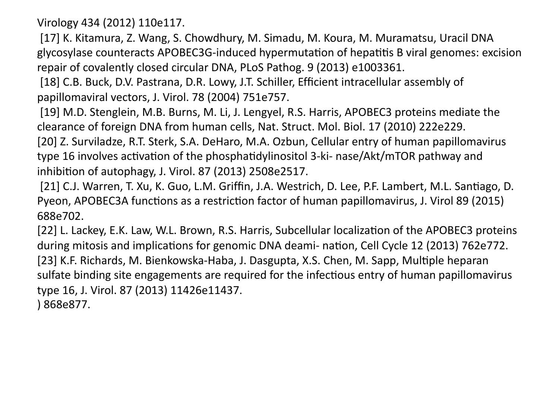Virology
434
(2012)
110e117.

[17] K. Kitamura, Z. Wang, S. Chowdhury, M. Simadu, M. Koura, M. Muramatsu, Uracil DNA glycosylase counteracts APOBEC3G-induced hypermutation of hepatitis B viral genomes: excision repair
of
covalently
closed
circular
DNA,
PLoS Pathog.
9
(2013)
e1003361.

[18] C.B. Buck, D.V. Pastrana, D.R. Lowy, J.T. Schiller, Efficient intracellular assembly of papillomaviral
vectors,
J.
Virol.
78
(2004)
751e757.

[19] M.D. Stenglein, M.B. Burns, M. Li, J. Lengyel, R.S. Harris, APOBEC3 proteins mediate the clearance
of
foreign
DNA
from
human
cells,
Nat.
Struct.
Mol.
Biol.
17
(2010)
222e229.

[20] Z. Surviladze, R.T. Sterk, S.A. DeHaro, M.A. Ozbun, Cellular entry of human papillomavirus type 16 involves activation of the phosphatidylinositol 3-ki- nase/Akt/mTOR pathway and inhibition of autophagy, J. Virol. 87 (2013) 2508e2517.

[21] C.J. Warren, T. Xu, K. Guo, L.M. Griffin, J.A. Westrich, D. Lee, P.F. Lambert, M.L. Santiago, D. Pyeon, APOBEC3A functions as a restriction factor of human papillomavirus, J. Virol 89 (2015) 688e702.

[22] L. Lackey, E.K. Law, W.L. Brown, R.S. Harris, Subcellular localization of the APOBEC3 proteins during mitosis and implications for genomic DNA deami- nation, Cell Cycle 12 (2013) 762e772. [23] K.F. Richards, M. Bienkowska-Haba, J. Dasgupta, X.S. Chen, M. Sapp, Multiple heparan sulfate binding site engagements are required for the infectious entry of human papillomavirus type
16,
J.
Virol.
87
(2013)
11426e11437. )
868e877.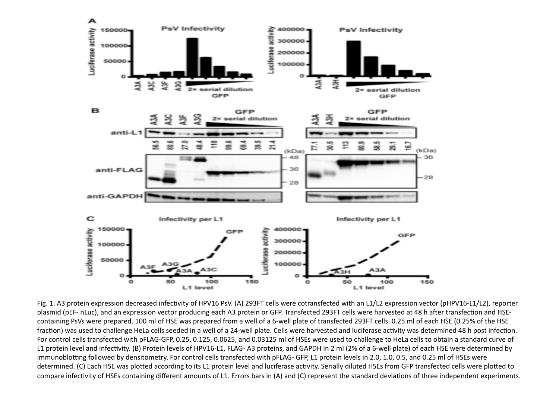

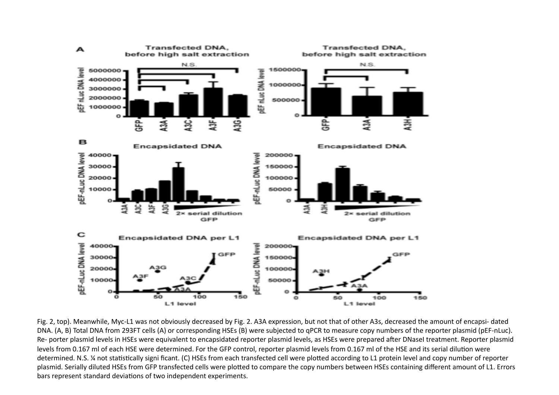

Fig. 2, top). Meanwhile, Myc-L1 was not obviously decreased by Fig. 2. A3A expression, but not that of other A3s, decreased the amount of encapsi- dated DNA. (A, B) Total DNA from 293FT cells (A) or corresponding HSEs (B) were subjected to qPCR to measure copy numbers of the reporter plasmid (pEF-nLuc). Re- porter plasmid levels in HSEs were equivalent to encapsidated reporter plasmid levels, as HSEs were prepared after DNaseI treatment. Reporter plasmid levels from 0.167 ml of each HSE were determined. For the GFP control, reporter plasmid levels from 0.167 ml of the HSE and its serial dilution were determined. N.S. ¼ not statistically signi ficant. (C) HSEs from each transfected cell were plotted according to L1 protein level and copy number of reporter plasmid. Serially diluted HSEs from GFP transfected cells were plotted to compare the copy numbers between HSEs containing different amount of L1. Errors bars represent standard deviations of two independent experiments.